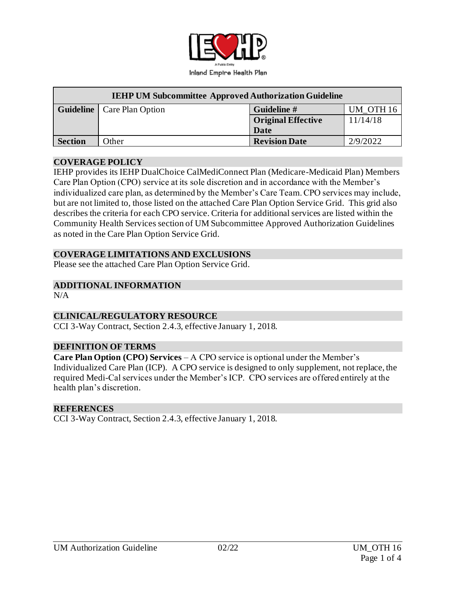

| <b>IEHP UM Subcommittee Approved Authorization Guideline</b> |                                     |                           |           |  |  |  |
|--------------------------------------------------------------|-------------------------------------|---------------------------|-----------|--|--|--|
|                                                              | <b>Guideline</b>   Care Plan Option | Guideline #               | UM OTH 16 |  |  |  |
|                                                              |                                     | <b>Original Effective</b> | 11/14/18  |  |  |  |
|                                                              |                                     | Date                      |           |  |  |  |
| <b>Section</b>                                               | Other                               | <b>Revision Date</b>      | 2/9/2022  |  |  |  |

#### **COVERAGE POLICY**

IEHP provides its IEHP DualChoice CalMediConnect Plan (Medicare-Medicaid Plan) Members Care Plan Option (CPO) service at its sole discretion and in accordance with the Member's individualized care plan, as determined by the Member's Care Team. CPO services may include, but are not limited to, those listed on the attached Care Plan Option Service Grid. This grid also describes the criteria for each CPO service. Criteria for additional services are listed within the Community Health Services section of UM Subcommittee Approved Authorization Guidelines as noted in the Care Plan Option Service Grid.

### **COVERAGE LIMITATIONS AND EXCLUSIONS**

Please see the attached Care Plan Option Service Grid.

### **ADDITIONAL INFORMATION**

 $N/A$ 

### **CLINICAL/REGULATORY RESOURCE**

CCI 3-Way Contract, Section 2.4.3, effective January 1, 2018.

### **DEFINITION OF TERMS**

**Care Plan Option (CPO) Services** – A CPO service is optional under the Member's Individualized Care Plan (ICP). A CPO service is designed to only supplement, not replace, the required Medi-Cal services under the Member's ICP. CPO services are offered entirely at the health plan's discretion.

### **REFERENCES**

CCI 3-Way Contract, Section 2.4.3, effective January 1, 2018.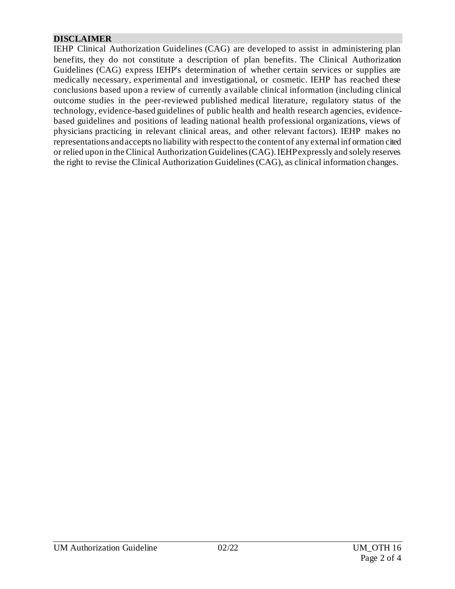# **DISCLAIMER**

IEHP Clinical Authorization Guidelines (CAG) are developed to assist in administering plan benefits, they do not constitute a description of plan benefits. The Clinical Authorization Guidelines (CAG) express IEHP's determination of whether certain services or supplies are medically necessary, experimental and investigational, or cosmetic. IEHP has reached these conclusions based upon a review of currently available clinical information (including clinical outcome studies in the peer-reviewed published medical literature, regulatory status of the technology, evidence-based guidelines of public health and health research agencies, evidencebased guidelines and positions of leading national health professional organizations, views of physicians practicing in relevant clinical areas, and other relevant factors). IEHP makes no representations and accepts no liability with respect to the content of any external inf ormation cited or relied upon in the Clinical Authorization Guidelines (CAG). IEHP expressly and solely reserves the right to revise the Clinical Authorization Guidelines (CAG), as clinical information changes.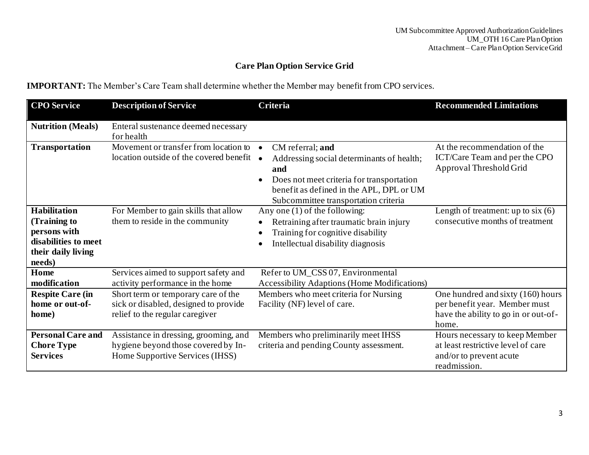# **Care Plan Option Service Grid**

**IMPORTANT:** The Member's Care Team shall determine whether the Member may benefit from CPO services.

| <b>CPO</b> Service                                                                                          | <b>Description of Service</b>                                                                                   | Criteria                                                                                                                                                                                                                        | <b>Recommended Limitations</b>                                                                                      |
|-------------------------------------------------------------------------------------------------------------|-----------------------------------------------------------------------------------------------------------------|---------------------------------------------------------------------------------------------------------------------------------------------------------------------------------------------------------------------------------|---------------------------------------------------------------------------------------------------------------------|
| <b>Nutrition (Meals)</b>                                                                                    | Enteral sustenance deemed necessary<br>for health                                                               |                                                                                                                                                                                                                                 |                                                                                                                     |
| <b>Transportation</b>                                                                                       | Movement or transfer from location to<br>location outside of the covered benefit •                              | CM referral; and<br>$\bullet$<br>Addressing social determinants of health;<br>and<br>Does not meet criteria for transportation<br>$\bullet$<br>benefit as defined in the APL, DPL or UM<br>Subcommittee transportation criteria | At the recommendation of the<br>ICT/Care Team and per the CPO<br>Approval Threshold Grid                            |
| <b>Habilitation</b><br>(Training to<br>persons with<br>disabilities to meet<br>their daily living<br>needs) | For Member to gain skills that allow<br>them to reside in the community                                         | Any one $(1)$ of the following:<br>Retraining after traumatic brain injury<br>Training for cognitive disability<br>Intellectual disability diagnosis                                                                            | Length of treatment: up to six $(6)$<br>consecutive months of treatment                                             |
| Home<br>modification                                                                                        | Services aimed to support safety and<br>activity performance in the home                                        | Refer to UM_CSS 07, Environmental<br><b>Accessibility Adaptions (Home Modifications)</b>                                                                                                                                        |                                                                                                                     |
| <b>Respite Care (in</b><br>home or out-of-<br>home)                                                         | Short term or temporary care of the<br>sick or disabled, designed to provide<br>relief to the regular caregiver | Members who meet criteria for Nursing<br>Facility (NF) level of care.                                                                                                                                                           | One hundred and sixty (160) hours<br>per benefit year. Member must<br>have the ability to go in or out-of-<br>home. |
| <b>Personal Care and</b><br><b>Chore Type</b><br><b>Services</b>                                            | Assistance in dressing, grooming, and<br>hygiene beyond those covered by In-<br>Home Supportive Services (IHSS) | Members who preliminarily meet IHSS<br>criteria and pending County assessment.                                                                                                                                                  | Hours necessary to keep Member<br>at least restrictive level of care<br>and/or to prevent acute<br>readmission.     |